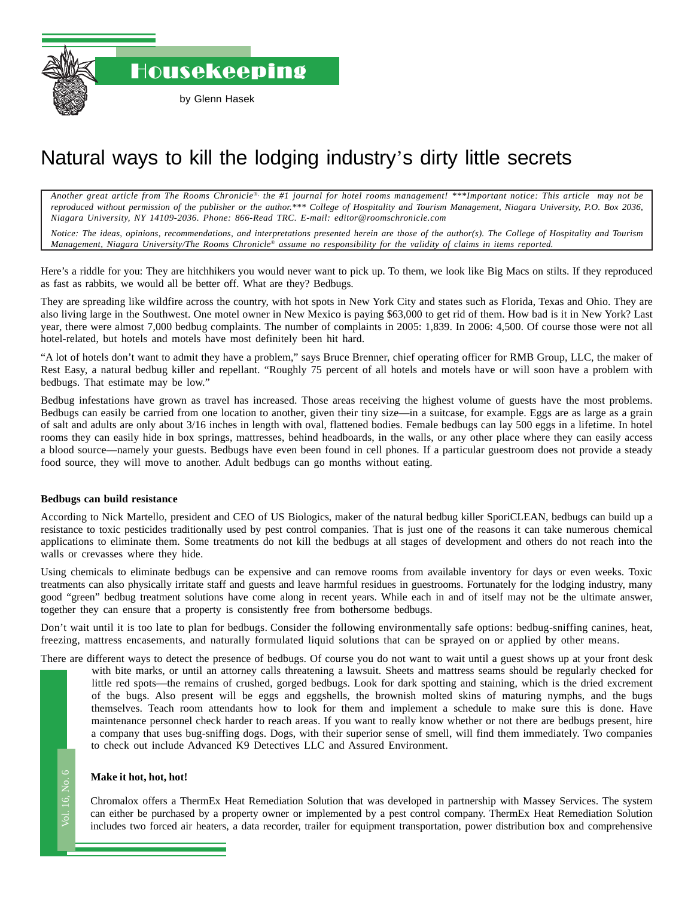Housekeeping

# Natural ways to kill the lodging industry's dirty little secrets

*Another great article from The Rooms Chronicle*®*, the #1 journal for hotel rooms management! \*\*\*Important notice: This article may not be reproduced without permission of the publisher or the author.\*\*\* College of Hospitality and Tourism Management, Niagara University, P.O. Box 2036, Niagara University, NY 14109-2036. Phone: 866-Read TRC. E-mail: editor@roomschronicle.com*

*Notice: The ideas, opinions, recommendations, and interpretations presented herein are those of the author(s). The College of Hospitality and Tourism Management, Niagara University/The Rooms Chronicle*® *assume no responsibility for the validity of claims in items reported.*

Here's a riddle for you: They are hitchhikers you would never want to pick up. To them, we look like Big Macs on stilts. If they reproduced as fast as rabbits, we would all be better off. What are they? Bedbugs.

They are spreading like wildfire across the country, with hot spots in New York City and states such as Florida, Texas and Ohio. They are also living large in the Southwest. One motel owner in New Mexico is paying \$63,000 to get rid of them. How bad is it in New York? Last year, there were almost 7,000 bedbug complaints. The number of complaints in 2005: 1,839. In 2006: 4,500. Of course those were not all hotel-related, but hotels and motels have most definitely been hit hard.

"A lot of hotels don't want to admit they have a problem," says Bruce Brenner, chief operating officer for RMB Group, LLC, the maker of Rest Easy, a natural bedbug killer and repellant. "Roughly 75 percent of all hotels and motels have or will soon have a problem with bedbugs. That estimate may be low."

Bedbug infestations have grown as travel has increased. Those areas receiving the highest volume of guests have the most problems. Bedbugs can easily be carried from one location to another, given their tiny size—in a suitcase, for example. Eggs are as large as a grain of salt and adults are only about 3/16 inches in length with oval, flattened bodies. Female bedbugs can lay 500 eggs in a lifetime. In hotel rooms they can easily hide in box springs, mattresses, behind headboards, in the walls, or any other place where they can easily access a blood source—namely your guests. Bedbugs have even been found in cell phones. If a particular guestroom does not provide a steady food source, they will move to another. Adult bedbugs can go months without eating.

## **Bedbugs can build resistance**

According to Nick Martello, president and CEO of US Biologics, maker of the natural bedbug killer SporiCLEAN, bedbugs can build up a resistance to toxic pesticides traditionally used by pest control companies. That is just one of the reasons it can take numerous chemical applications to eliminate them. Some treatments do not kill the bedbugs at all stages of development and others do not reach into the walls or crevasses where they hide.

Using chemicals to eliminate bedbugs can be expensive and can remove rooms from available inventory for days or even weeks. Toxic treatments can also physically irritate staff and guests and leave harmful residues in guestrooms. Fortunately for the lodging industry, many good "green" bedbug treatment solutions have come along in recent years. While each in and of itself may not be the ultimate answer, together they can ensure that a property is consistently free from bothersome bedbugs.

Don't wait until it is too late to plan for bedbugs. Consider the following environmentally safe options: bedbug-sniffing canines, heat, freezing, mattress encasements, and naturally formulated liquid solutions that can be sprayed on or applied by other means.

There are different ways to detect the presence of bedbugs. Of course you do not want to wait until a guest shows up at your front desk

with bite marks, or until an attorney calls threatening a lawsuit. Sheets and mattress seams should be regularly checked for little red spots—the remains of crushed, gorged bedbugs. Look for dark spotting and staining, which is the dried excrement of the bugs. Also present will be eggs and eggshells, the brownish molted skins of maturing nymphs, and the bugs themselves. Teach room attendants how to look for them and implement a schedule to make sure this is done. Have maintenance personnel check harder to reach areas. If you want to really know whether or not there are bedbugs present, hire a company that uses bug-sniffing dogs. Dogs, with their superior sense of smell, will find them immediately. Two companies to check out include Advanced K9 Detectives LLC and Assured Environment.

## **Make it hot, hot, hot!**

ak<br>roi<br>lu Chromalox offers a ThermEx Heat Remediation Solution that was developed in partnership with Massey Services. The system can either be purchased by a property owner or implemented by a pest control company. ThermEx Heat Remediation Solution includes two forced air heaters, a data recorder, trailer for equipment transportation, power distribution box and comprehensive

Vol. 16, No. 6